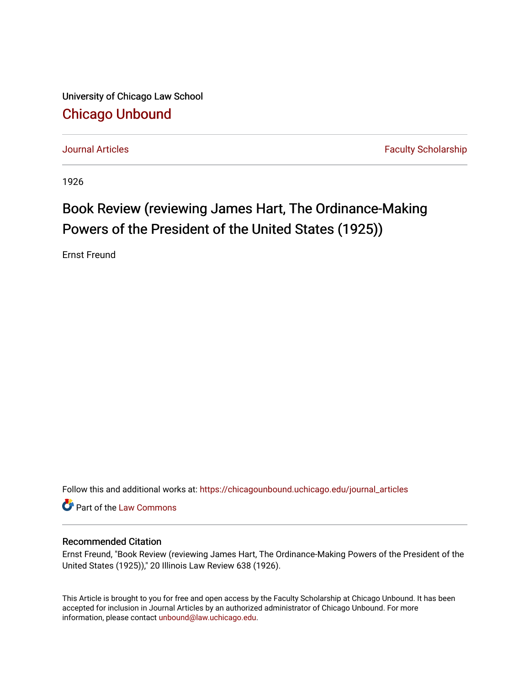University of Chicago Law School [Chicago Unbound](https://chicagounbound.uchicago.edu/)

[Journal Articles](https://chicagounbound.uchicago.edu/journal_articles) **Faculty Scholarship Journal Articles** 

1926

## Book Review (reviewing James Hart, The Ordinance-Making Powers of the President of the United States (1925))

Ernst Freund

Follow this and additional works at: [https://chicagounbound.uchicago.edu/journal\\_articles](https://chicagounbound.uchicago.edu/journal_articles?utm_source=chicagounbound.uchicago.edu%2Fjournal_articles%2F7796&utm_medium=PDF&utm_campaign=PDFCoverPages) 

Part of the [Law Commons](http://network.bepress.com/hgg/discipline/578?utm_source=chicagounbound.uchicago.edu%2Fjournal_articles%2F7796&utm_medium=PDF&utm_campaign=PDFCoverPages)

## Recommended Citation

Ernst Freund, "Book Review (reviewing James Hart, The Ordinance-Making Powers of the President of the United States (1925))," 20 Illinois Law Review 638 (1926).

This Article is brought to you for free and open access by the Faculty Scholarship at Chicago Unbound. It has been accepted for inclusion in Journal Articles by an authorized administrator of Chicago Unbound. For more information, please contact [unbound@law.uchicago.edu](mailto:unbound@law.uchicago.edu).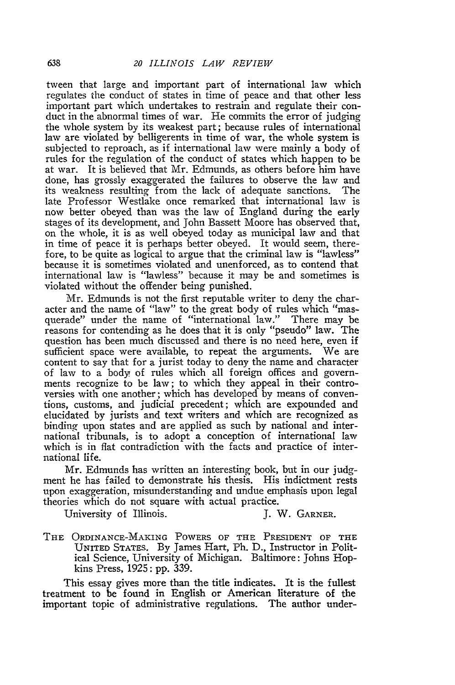tween that large and important part of international law which regulates the conduct of states in time of peace and that other less important part which undertakes to restrain and regulate their conduct in the abnormal times of war. He commits the error of judging the whole system by its weakest part; because rules of international law are violated by belligerents in time of war, the whole system is subjected to reproach, as if international law were mainly a body of rules for the regulation of the conduct of states which happen to be at war. It is believed that Mr. Edmunds, as others before him have done, has grossly exaggerated the failures to observe the law and its weakness resulting from the lack of adequate sanctions. The late Professor Westlake once remarked that international law is now better obeyed than was the law of England during the early stages of its development, and John Bassett Moore has observed that, on the whole, it is as well obeyed today as municipal law and that in time of peace it is perhaps better obeyed. It would seem, therefore, to be quite as logical to argue that the criminal law is "lawless" because it is sometimes violated and unenforced, as to contend that international law is "lawless" because it may be and sometimes is violated without the offender being punished.

Mr. Edmunds is not the first reputable writer to deny the character and the name of "law" to the great body of rules which "masquerade" under the name of "international law." There may be reasons for contending as he does that it is only "pseudo" law. The question has been much discussed and there is no need here, even if sufficient space were available, to repeat the arguments. We are content to say that for a jurist today to deny the name and character of law to a body of rules which all foreign offices and governments recognize to be law; to which they appeal in their controversies with one another; which has developed by means of conventions, customs, and judicial precedent; which are expounded and elucidated by jurists and text writers and which are recognized as binding upon states and are applied as such by national and international tribunals, is to adopt a conception of international law which is in flat contradiction with the facts and practice of international life.

Mr. Edmunds has written an interesting book, but in our judgment he has failed to demonstrate his thesis. His indictment rests upon exaggeration, misunderstanding and undue emphasis upon legal theories which do not square with actual practice.

University of Illinois. **J. W. GARNER.** 

**THE** ORDINANCE-MAKING POWERS OF THE **PRESIDENT** OF **THE** UNITED STATES. By James Hart, Ph. D., Instructor in Political Science, University of Michigan. Baltimore: Johns Hopkins Press, 1925: pp. 339.

This essay gives more than the title indicates. It is the fullest treatment to be found in English or American literature of the important topic of administrative regulations. The author under-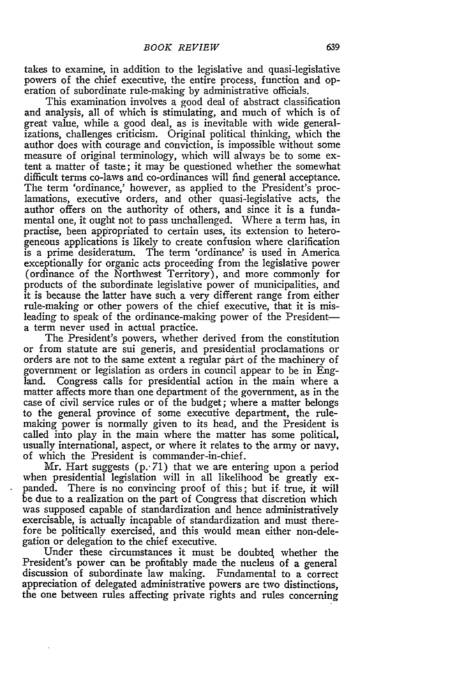takes to examine, in addition to the legislative and quasi-legislative powers of the chief executive, the entire process, function and operation of subordinate rule-making by administrative officials.

This examination involves a good deal of abstract classification and analysis, all of which is stimulating, and much of which is of great value, while a good deal, as is inevitable with wide generalizations, challenges criticism. Original political thinking, which the author does with courage and conviction, is impossible without some measure of original terminology, which will always be to some extent a matter of taste; it may be questioned whether the somewhat difficult terms co-laws and co-ordinances will find general acceptance. The term 'ordinance,' however, as applied to the President's proclamations, executive orders, and other quasi-legislative acts, the author offers on the authority of others, and since it is a fundamental one, it ought not to pass unchallenged. Where a term has, in practise, been appropriated to certain uses, its extension to heterogeneous applications is likely to create confusion where clarification is a prime desideratum. The term 'ordinance' is used in America exceptionally for organic acts proceeding from the legislative power (ordinance of the Northwest Territory), and more commonly for products of the subordinate legislative power of municipalities, and it is because the latter have such a very different range from either rule-making or other powers of the chief executive, that it is misleading to speak of the ordinance-making power of the Presidenta term never used in actual practice.

The President's powers, whether derived from the constitution or from statute are sui generis, and presidential proclamations or orders are not to the same extent a regular part of the machinery of government or legislation as orders in council appear to be in England. Congress calls for presidential action in the main where a matter affects more than one department of the government, as in the case of civil service rules or of the budget; where a matter belongs to the general province of some executive department, the rulemaking power is normally given to its head, and the President is called into play in the main where the matter has some political, usually international, aspect, or where it relates to the army or navy, of which the President is commander-in-chief.

Mr. Hart suggests **(p.'71)** that we are entering upon a period when presidential legislation will in all likelihood be greatly expanded. There is no convincing proof of this; but if true, it will be due to a realization on the part of Congress that discretion which was supposed capable of standardization and hence administratively exercisable, is actually incapable of standardization and must therefore be politically exercised, and this would mean either non-delegation or delegation to the chief executive.

Under these circumstances it must be doubted whether the President's power can be profitably made the nucleus of a general discussion of subordinate law making. Fundamental to a correct appreciation of delegated administrative powers are two distinctions, the one between rules affecting private rights and rules concerning